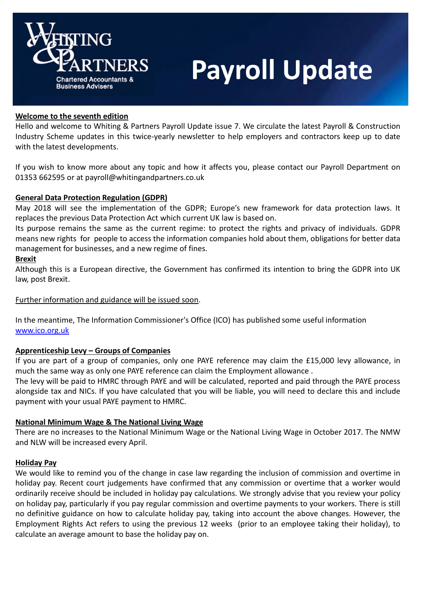

# **Payroll Update**

# Welcome to the seventh edition

Hello and welcome to Whiting & Partners Payroll Update issue 7. We circulate the latest Payroll & Construction Industry Scheme updates in this twice-yearly newsletter to help employers and contractors keep up to date with the latest developments.

If you wish to know more about any topic and how it affects you, please contact our Payroll Department on 01353 662595 or at payroll@whitingandpartners.co.uk

# General Data Protection Regulation (GDPR)

May 2018 will see the implementation of the GDPR; Europe's new framework for data protection laws. It replaces the previous Data Protection Act which current UK law is based on.

Its purpose remains the same as the current regime: to protect the rights and privacy of individuals. GDPR means new rights for people to access the information companies hold about them, obligations for better data management for businesses, and a new regime of fines.

# Brexit

Although this is a European directive, the Government has confirmed its intention to bring the GDPR into UK law, post Brexit.

# Further information and guidance will be issued soon.

In the meantime, The Information Commissioner's Office (ICO) has published some useful information www.ico.org.uk

# Apprenticeship Levy – Groups of Companies

If you are part of a group of companies, only one PAYE reference may claim the £15,000 levy allowance, in much the same way as only one PAYE reference can claim the Employment allowance .

The levy will be paid to HMRC through PAYE and will be calculated, reported and paid through the PAYE process alongside tax and NICs. If you have calculated that you will be liable, you will need to declare this and include payment with your usual PAYE payment to HMRC.

# National Minimum Wage & The National Living Wage

There are no increases to the National Minimum Wage or the National Living Wage in October 2017. The NMW and NLW will be increased every April.

# Holiday Pay

We would like to remind you of the change in case law regarding the inclusion of commission and overtime in holiday pay. Recent court judgements have confirmed that any commission or overtime that a worker would ordinarily receive should be included in holiday pay calculations. We strongly advise that you review your policy on holiday pay, particularly if you pay regular commission and overtime payments to your workers. There is still no definitive guidance on how to calculate holiday pay, taking into account the above changes. However, the Employment Rights Act refers to using the previous 12 weeks (prior to an employee taking their holiday), to calculate an average amount to base the holiday pay on.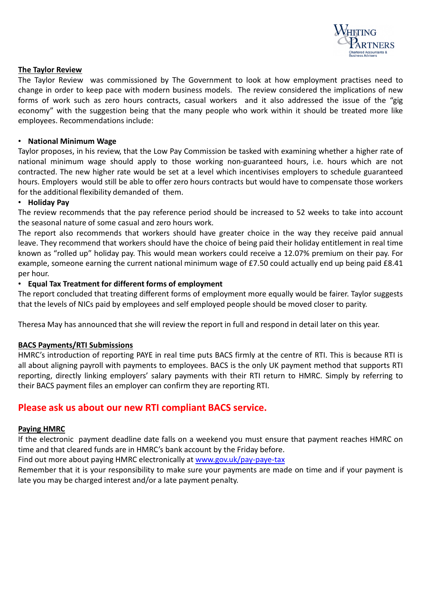

# The Taylor Review

The Taylor Review was commissioned by The Government to look at how employment practises need to change in order to keep pace with modern business models. The review considered the implications of new forms of work such as zero hours contracts, casual workers and it also addressed the issue of the "gig economy" with the suggestion being that the many people who work within it should be treated more like employees. Recommendations include:

# • National Minimum Wage

Taylor proposes, in his review, that the Low Pay Commission be tasked with examining whether a higher rate of national minimum wage should apply to those working non-guaranteed hours, i.e. hours which are not contracted. The new higher rate would be set at a level which incentivises employers to schedule guaranteed hours. Employers would still be able to offer zero hours contracts but would have to compensate those workers for the additional flexibility demanded of them.

# • Holiday Pay

The review recommends that the pay reference period should be increased to 52 weeks to take into account the seasonal nature of some casual and zero hours work.

The report also recommends that workers should have greater choice in the way they receive paid annual leave. They recommend that workers should have the choice of being paid their holiday entitlement in real time known as "rolled up" holiday pay. This would mean workers could receive a 12.07% premium on their pay. For example, someone earning the current national minimum wage of £7.50 could actually end up being paid £8.41 per hour.

#### • Equal Tax Treatment for different forms of employment

The report concluded that treating different forms of employment more equally would be fairer. Taylor suggests that the levels of NICs paid by employees and self employed people should be moved closer to parity.

Theresa May has announced that she will review the report in full and respond in detail later on this year.

# BACS Payments/RTI Submissions

HMRC's introduction of reporting PAYE in real time puts BACS firmly at the centre of RTI. This is because RTI is all about aligning payroll with payments to employees. BACS is the only UK payment method that supports RTI reporting, directly linking employers' salary payments with their RTI return to HMRC. Simply by referring to their BACS payment files an employer can confirm they are reporting RTI.

# Please ask us about our new RTI compliant BACS service.

#### Paying HMRC

If the electronic payment deadline date falls on a weekend you must ensure that payment reaches HMRC on time and that cleared funds are in HMRC's bank account by the Friday before.

Find out more about paying HMRC electronically at www.gov.uk/pay-paye-tax

Remember that it is your responsibility to make sure your payments are made on time and if your payment is late you may be charged interest and/or a late payment penalty.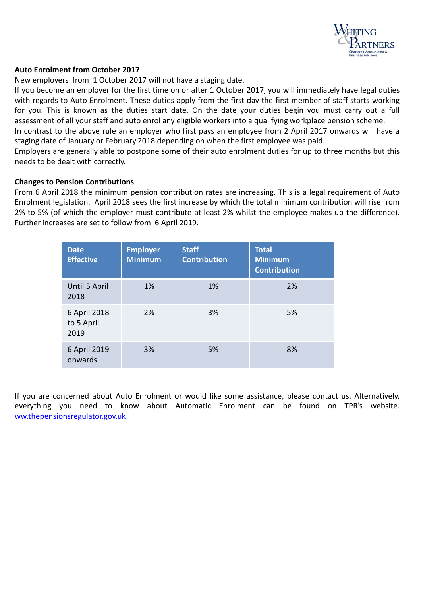

# Auto Enrolment from October 2017

New employers from 1 October 2017 will not have a staging date.

If you become an employer for the first time on or after 1 October 2017, you will immediately have legal duties with regards to Auto Enrolment. These duties apply from the first day the first member of staff starts working for you. This is known as the duties start date. On the date your duties begin you must carry out a full assessment of all your staff and auto enrol any eligible workers into a qualifying workplace pension scheme.

In contrast to the above rule an employer who first pays an employee from 2 April 2017 onwards will have a staging date of January or February 2018 depending on when the first employee was paid.

Employers are generally able to postpone some of their auto enrolment duties for up to three months but this needs to be dealt with correctly.

#### Changes to Pension Contributions

From 6 April 2018 the minimum pension contribution rates are increasing. This is a legal requirement of Auto Enrolment legislation. April 2018 sees the first increase by which the total minimum contribution will rise from 2% to 5% (of which the employer must contribute at least 2% whilst the employee makes up the difference). Further increases are set to follow from 6 April 2019.

| <b>Date</b><br><b>Effective</b>    | <b>Employer</b><br><b>Minimum</b> | <b>Staff</b><br><b>Contribution</b> | <b>Total</b><br><b>Minimum</b><br><b>Contribution</b> |
|------------------------------------|-----------------------------------|-------------------------------------|-------------------------------------------------------|
| Until 5 April<br>2018              | <b>1%</b>                         | $1\%$                               | 2%                                                    |
| 6 April 2018<br>to 5 April<br>2019 | 2%                                | 3%                                  | 5%                                                    |
| 6 April 2019<br>onwards            | 3%                                | 5%                                  | 8%                                                    |

If you are concerned about Auto Enrolment or would like some assistance, please contact us. Alternatively, everything you need to know about Automatic Enrolment can be found on TPR's website. ww.thepensionsregulator.gov.uk